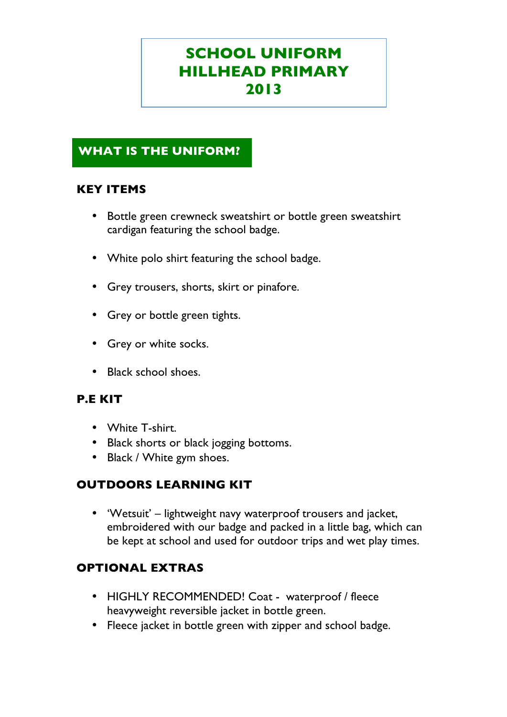# **SCHOOL UNIFORM HILLHEAD PRIMARY 2013**

# **WHAT IS THE UNIFORM?**

# **KEY ITEMS**

- Bottle green crewneck sweatshirt or bottle green sweatshirt cardigan featuring the school badge.
- White polo shirt featuring the school badge.
- Grey trousers, shorts, skirt or pinafore.
- Grey or bottle green tights.
- Grey or white socks.
- Black school shoes.

# **P.E KIT**

- White T-shirt.
- Black shorts or black jogging bottoms.
- Black / White gym shoes.

# **OUTDOORS LEARNING KIT**

• 'Wetsuit' – lightweight navy waterproof trousers and jacket, embroidered with our badge and packed in a little bag, which can be kept at school and used for outdoor trips and wet play times.

# **OPTIONAL EXTRAS**

- HIGHLY RECOMMENDED! Coat waterproof / fleece heavyweight reversible jacket in bottle green.
- Fleece jacket in bottle green with zipper and school badge.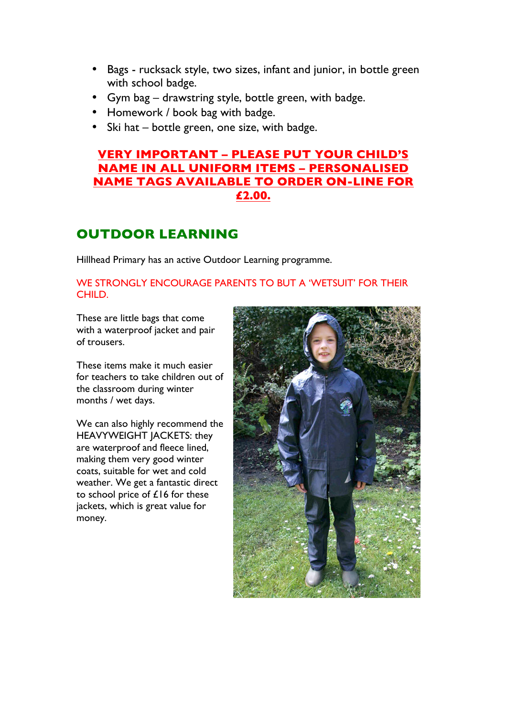- Bags rucksack style, two sizes, infant and junior, in bottle green with school badge.
- Gym bag drawstring style, bottle green, with badge.
- Homework / book bag with badge.
- Ski hat bottle green, one size, with badge.

# **VERY IMPORTANT – PLEASE PUT YOUR CHILD'S NAME IN ALL UNIFORM ITEMS – PERSONALISED NAME TAGS AVAILABLE TO ORDER ON-LINE FOR £2.00.**

# **OUTDOOR LEARNING**

Hillhead Primary has an active Outdoor Learning programme.

### WE STRONGLY ENCOURAGE PARENTS TO BUT A 'WETSUIT' FOR THEIR CHILD.

These are little bags that come with a waterproof jacket and pair of trousers.

These items make it much easier for teachers to take children out of the classroom during winter months / wet days.

We can also highly recommend the HEAVYWEIGHT JACKETS: they are waterproof and fleece lined, making them very good winter coats, suitable for wet and cold weather. We get a fantastic direct to school price of £16 for these jackets, which is great value for money.

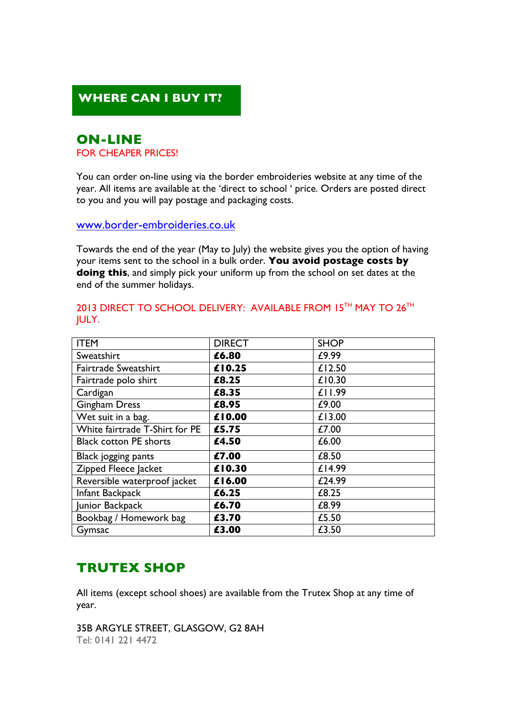# **WHERE CAN I BUY IT?**

# **ON-LINE**

### FOR CHEAPER PRICES!

You can order on-line using via the border embroideries website at any time of the year. All items are available at the 'direct to school ' price. Orders are posted direct to you and you will pay postage and packaging costs.

www.border-embroideries.co.uk

Towards the end of the year (May to July) the website gives you the option of having your items sent to the school in a bulk order. **You avoid postage costs by doing this**, and simply pick your uniform up from the school on set dates at the end of the summer holidays.

| <b>ITEM</b>                    | <b>DIRECT</b> | <b>SHOP</b> |
|--------------------------------|---------------|-------------|
| Sweatshirt                     | £6.80         | £9.99       |
| Fairtrade Sweatshirt           | £10.25        | £12.50      |
| Fairtrade polo shirt           | £8.25         | £10.30      |
| Cardigan                       | £8.35         | £11.99      |
| <b>Gingham Dress</b>           | £8.95         | £9.00       |
| Wet suit in a bag.             | £10.00        | £13.00      |
| White fairtrade T-Shirt for PE | £5.75         | £7.00       |
| <b>Black cotton PE shorts</b>  | £4.50         | £6.00       |
| Black jogging pants            | £7.00         | £8.50       |
| Zipped Fleece Jacket           | £10.30        | £14.99      |
| Reversible waterproof jacket   | £16.00        | £24.99      |
| Infant Backpack                | £6.25         | £8.25       |
| Junior Backpack                | £6.70         | £8.99       |
| Bookbag / Homework bag         | £3.70         | £5.50       |
| Gymsac                         | £3.00         | £3.50       |

### 2013 DIRECT TO SCHOOL DELIVERY: AVAILABLE FROM 15TH MAY TO 26TH JULY.

# **TRUTEX SHOP**

All items (except school shoes) are available from the Trutex Shop at any time of year.

35B ARGYLE STREET, GLASGOW, G2 8AH Tel: 0141 221 4472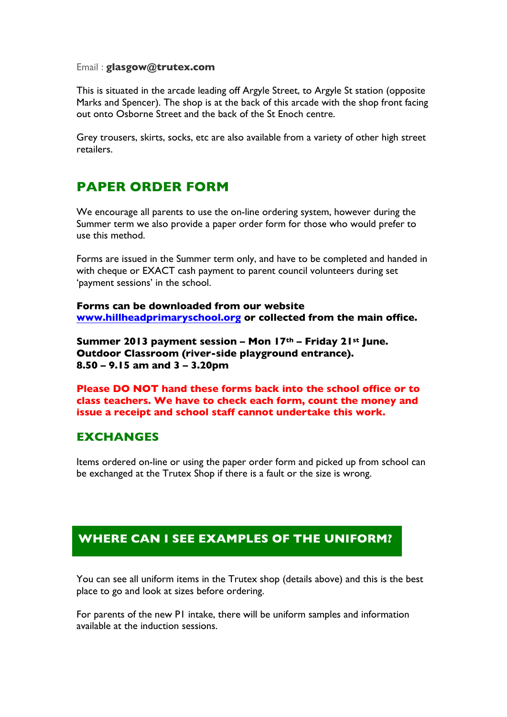#### Email : **glasgow@trutex.com**

This is situated in the arcade leading off Argyle Street, to Argyle St station (opposite Marks and Spencer). The shop is at the back of this arcade with the shop front facing out onto Osborne Street and the back of the St Enoch centre.

Grey trousers, skirts, socks, etc are also available from a variety of other high street retailers.

# **PAPER ORDER FORM**

We encourage all parents to use the on-line ordering system, however during the Summer term we also provide a paper order form for those who would prefer to use this method.

Forms are issued in the Summer term only, and have to be completed and handed in with cheque or EXACT cash payment to parent council volunteers during set 'payment sessions' in the school.

**Forms can be downloaded from our website www.hillheadprimaryschool.org or collected from the main office.**

**Summer 2013 payment session – Mon 17th – Friday 21st June. Outdoor Classroom (river-side playground entrance). 8.50 – 9.15 am and 3 – 3.20pm**

**Please DO NOT hand these forms back into the school office or to class teachers. We have to check each form, count the money and issue a receipt and school staff cannot undertake this work.** 

### **EXCHANGES**

Items ordered on-line or using the paper order form and picked up from school can be exchanged at the Trutex Shop if there is a fault or the size is wrong.

# **WHERE CAN I SEE EXAMPLES OF THE UNIFORM?**

You can see all uniform items in the Trutex shop (details above) and this is the best place to go and look at sizes before ordering.

For parents of the new P1 intake, there will be uniform samples and information available at the induction sessions.